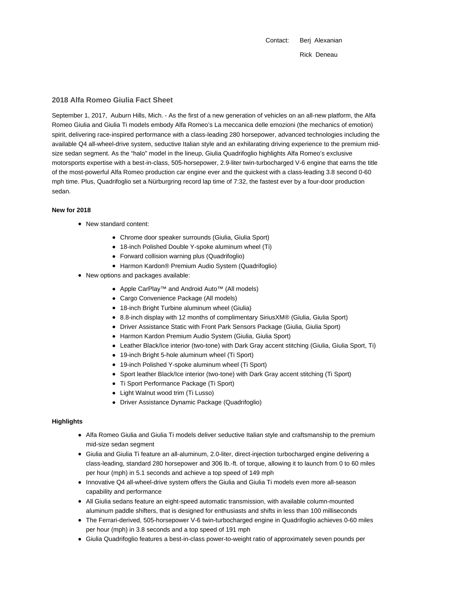Contact: Berj Alexanian Rick Deneau

# **2018 Alfa Romeo Giulia Fact Sheet**

September 1, 2017, Auburn Hills, Mich. - As the first of a new generation of vehicles on an all-new platform, the Alfa Romeo Giulia and Giulia Ti models embody Alfa Romeo's La meccanica delle emozioni (the mechanics of emotion) spirit, delivering race-inspired performance with a class-leading 280 horsepower, advanced technologies including the available Q4 all-wheel-drive system, seductive Italian style and an exhilarating driving experience to the premium midsize sedan segment. As the "halo" model in the lineup, Giulia Quadrifoglio highlights Alfa Romeo's exclusive motorsports expertise with a best-in-class, 505-horsepower, 2.9-liter twin-turbocharged V-6 engine that earns the title of the most-powerful Alfa Romeo production car engine ever and the quickest with a class-leading 3.8 second 0-60 mph time. Plus, Quadrifoglio set a Nürburgring record lap time of 7:32, the fastest ever by a four-door production sedan.

#### **New for 2018**

- New standard content:
	- Chrome door speaker surrounds (Giulia, Giulia Sport)
	- 18-inch Polished Double Y-spoke aluminum wheel (Ti)
	- Forward collision warning plus (Quadrifoglio)
	- Harmon Kardon® Premium Audio System (Quadrifoglio)
- New options and packages available:
	- Apple CarPlay<sup>™</sup> and Android Auto<sup>™</sup> (All models)
	- Cargo Convenience Package (All models)
	- 18-inch Bright Turbine aluminum wheel (Giulia)
	- 8.8-inch display with 12 months of complimentary SiriusXM® (Giulia, Giulia Sport)
	- Driver Assistance Static with Front Park Sensors Package (Giulia, Giulia Sport)
	- Harmon Kardon Premium Audio System (Giulia, Giulia Sport)
	- Leather Black/Ice interior (two-tone) with Dark Gray accent stitching (Giulia, Giulia Sport, Ti)
	- 19-inch Bright 5-hole aluminum wheel (Ti Sport)
	- 19-inch Polished Y-spoke aluminum wheel (Ti Sport)
	- Sport leather Black/Ice interior (two-tone) with Dark Gray accent stitching (Ti Sport)
	- Ti Sport Performance Package (Ti Sport)
	- Light Walnut wood trim (Ti Lusso)
	- Driver Assistance Dynamic Package (Quadrifoglio)

## **Highlights**

- Alfa Romeo Giulia and Giulia Ti models deliver seductive Italian style and craftsmanship to the premium mid-size sedan segment
- Giulia and Giulia Ti feature an all-aluminum, 2.0-liter, direct-injection turbocharged engine delivering a class-leading, standard 280 horsepower and 306 lb.-ft. of torque, allowing it to launch from 0 to 60 miles per hour (mph) in 5.1 seconds and achieve a top speed of 149 mph
- Innovative Q4 all-wheel-drive system offers the Giulia and Giulia Ti models even more all-season capability and performance
- All Giulia sedans feature an eight-speed automatic transmission, with available column-mounted aluminum paddle shifters, that is designed for enthusiasts and shifts in less than 100 milliseconds
- The Ferrari-derived, 505-horsepower V-6 twin-turbocharged engine in Quadrifoglio achieves 0-60 miles per hour (mph) in 3.8 seconds and a top speed of 191 mph
- Giulia Quadrifoglio features a best-in-class power-to-weight ratio of approximately seven pounds per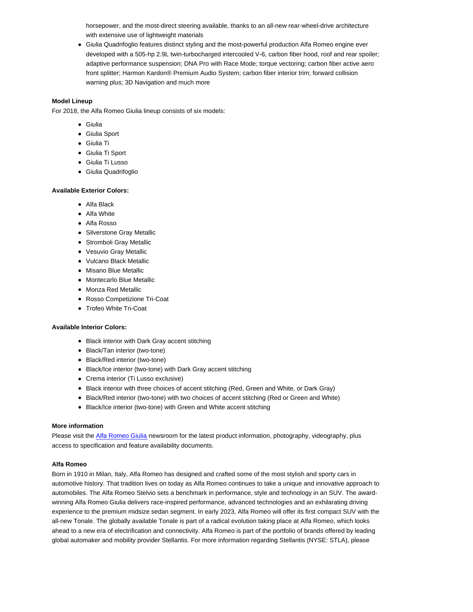horsepower, and the most-direct steering available, thanks to an all-new rear-wheel-drive architecture with extensive use of lightweight materials

Giulia Quadrifoglio features distinct styling and the most-powerful production Alfa Romeo engine ever developed with a 505-hp 2.9L twin-turbocharged intercooled V-6, carbon fiber hood, roof and rear spoiler; adaptive performance suspension; DNA Pro with Race Mode; torque vectoring; carbon fiber active aero front splitter; Harmon Kardon® Premium Audio System; carbon fiber interior trim; forward collision warning plus; 3D Navigation and much more

#### **Model Lineup**

For 2018, the Alfa Romeo Giulia lineup consists of six models:

- Giulia
- Giulia Sport
- Giulia Ti
- Giulia Ti Sport
- Giulia Ti Lusso
- Giulia Quadrifoglio

## **Available Exterior Colors:**

- Alfa Black
- Alfa White
- Alfa Rosso
- Silverstone Gray Metallic
- Stromboli Gray Metallic
- Vesuvio Gray Metallic
- Vulcano Black Metallic
- Misano Blue Metallic
- Montecarlo Blue Metallic
- Monza Red Metallic
- Rosso Competizione Tri-Coat
- Trofeo White Tri-Coat

### **Available Interior Colors:**

- Black interior with Dark Gray accent stitching
- Black/Tan interior (two-tone)
- Black/Red interior (two-tone)
- Black/Ice interior (two-tone) with Dark Gray accent stitching
- Crema interior (Ti Lusso exclusive)
- Black interior with three choices of accent stitching (Red, Green and White, or Dark Gray)
- Black/Red interior (two-tone) with two choices of accent stitching (Red or Green and White)
- Black/Ice interior (two-tone) with Green and White accent stitching

#### **More information**

Please visit the Alfa Romeo Giulia newsroom for the latest product information, photography, videography, plus access to specification and feature availability documents.

## **Alfa Romeo**

Born in 1910 in Milan, Italy, Alfa Romeo has designed and crafted some of the most stylish and sporty cars in automotive history. That tradition lives on today as Alfa Romeo continues to take a unique and innovative approach to automobiles. The Alfa Romeo Stelvio sets a benchmark in performance, style and technology in an SUV. The awardwinning Alfa Romeo Giulia delivers race-inspired performance, advanced technologies and an exhilarating driving experience to the premium midsize sedan segment. In early 2023, Alfa Romeo will offer its first compact SUV with the all-new Tonale. The globally available Tonale is part of a radical evolution taking place at Alfa Romeo, which looks ahead to a new era of electrification and connectivity. Alfa Romeo is part of the portfolio of brands offered by leading global automaker and mobility provider Stellantis. For more information regarding Stellantis (NYSE: STLA), please